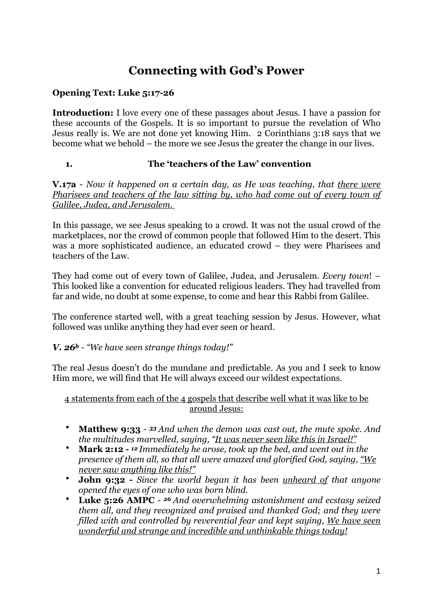# **Connecting with God's Power**

# **Opening Text: Luke 5:17-26**

**Introduction:** I love every one of these passages about Jesus. I have a passion for these accounts of the Gospels. It is so important to pursue the revelation of Who Jesus really is. We are not done yet knowing Him. 2 Corinthians 3:18 says that we become what we behold – the more we see Jesus the greater the change in our lives.

## **1. The 'teachers of the Law' convention**

**V.17a** - *Now it happened on a certain day, as He was teaching, that there were Pharisees and teachers of the law sitting by, who had come out of every town of Galilee, Judea, and Jerusalem.* 

In this passage, we see Jesus speaking to a crowd. It was not the usual crowd of the marketplaces, nor the crowd of common people that followed Him to the desert. This was a more sophisticated audience, an educated crowd – they were Pharisees and teachers of the Law.

They had come out of every town of Galilee, Judea, and Jerusalem. *Every town*! – This looked like a convention for educated religious leaders. They had travelled from far and wide, no doubt at some expense, to come and hear this Rabbi from Galilee.

The conference started well, with a great teaching session by Jesus. However, what followed was unlike anything they had ever seen or heard.

## *V. 26b - "We have seen strange things today!"*

The real Jesus doesn't do the mundane and predictable. As you and I seek to know Him more, we will find that He will always exceed our wildest expectations.

#### 4 statements from each of the 4 gospels that describe well what it was like to be around Jesus:

- **Matthew 9:33** *33 And when the demon was cast out, the mute spoke. And the multitudes marvelled, saying, "It was never seen like this in Israel!"*
- **Mark 2:12** *12 Immediately he arose, took up the bed, and went out in the presence of them all, so that all were amazed and glorified God, saying, "We never saw anything like this!"*
- **John 9:32** *Since the world began it has been unheard of that anyone opened the eyes of one who was born blind.*
- **Luke 5:26 AMPC** *26 And overwhelming astonishment and ecstasy seized them all, and they recognized and praised and thanked God; and they were filled with and controlled by reverential fear and kept saying, We have seen wonderful and strange and incredible and unthinkable things today!*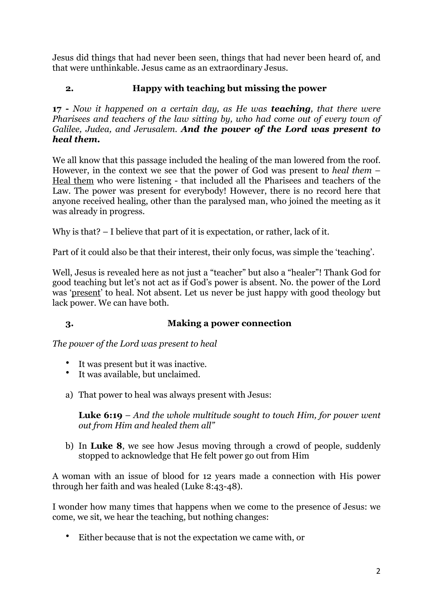Jesus did things that had never been seen, things that had never been heard of, and that were unthinkable. Jesus came as an extraordinary Jesus.

## **2. Happy with teaching but missing the power**

**17 -** *Now it happened on a certain day, as He was teaching, that there were Pharisees and teachers of the law sitting by, who had come out of every town of Galilee, Judea, and Jerusalem. And the power of the Lord was present to heal them.*

We all know that this passage included the healing of the man lowered from the roof. However, in the context we see that the power of God was present to *heal them* – Heal them who were listening - that included all the Pharisees and teachers of the Law. The power was present for everybody! However, there is no record here that anyone received healing, other than the paralysed man, who joined the meeting as it was already in progress.

Why is that? – I believe that part of it is expectation, or rather, lack of it.

Part of it could also be that their interest, their only focus, was simple the 'teaching'.

Well, Jesus is revealed here as not just a "teacher" but also a "healer"! Thank God for good teaching but let's not act as if God's power is absent. No. the power of the Lord was 'present' to heal. Not absent. Let us never be just happy with good theology but lack power. We can have both.

#### **3. Making a power connection**

*The power of the Lord was present to heal*

- It was present but it was inactive.
- It was available, but unclaimed.
- a) That power to heal was always present with Jesus:

**Luke 6:19** – *And the whole multitude sought to touch Him, for power went out from Him and healed them all"*

b) In **Luke 8**, we see how Jesus moving through a crowd of people, suddenly stopped to acknowledge that He felt power go out from Him

A woman with an issue of blood for 12 years made a connection with His power through her faith and was healed (Luke 8:43-48).

I wonder how many times that happens when we come to the presence of Jesus: we come, we sit, we hear the teaching, but nothing changes:

• Either because that is not the expectation we came with, or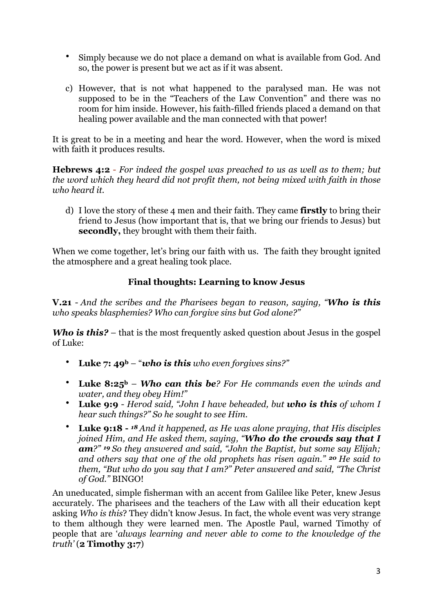- Simply because we do not place a demand on what is available from God. And so, the power is present but we act as if it was absent.
- c) However, that is not what happened to the paralysed man. He was not supposed to be in the "Teachers of the Law Convention" and there was no room for him inside. However, his faith-filled friends placed a demand on that healing power available and the man connected with that power!

It is great to be in a meeting and hear the word. However, when the word is mixed with faith it produces results.

**[Hebrews 4:2](https://www.biblegateway.com/passage/?search=Hebrews%25204:2&version=NKJV)** - *For indeed the gospel was preached to us as well as to them; but the word which they heard did not profit them, not being mixed with faith in those who heard it.*

d) I love the story of these 4 men and their faith. They came **firstly** to bring their friend to Jesus (how important that is, that we bring our friends to Jesus) but **secondly,** they brought with them their faith.

When we come together, let's bring our faith with us. The faith they brought ignited the atmosphere and a great healing took place.

## **Final thoughts: Learning to know Jesus**

**V.21** - *And the scribes and the Pharisees began to reason, saying, "Who is this who speaks blasphemies? Who can forgive sins but God alone?"*

*Who is this?* – that is the most frequently asked question about Jesus in the gospel of Luke:

- **Luke 7: 49b** "*who is this who even forgives sins?"*
- **Luke 8:25b** *Who can this be? For He commands even the winds and water, and they obey Him!"*
- **Luke 9:9** *Herod said, "John I have beheaded, but who is this of whom I hear such things?" So he sought to see Him.*
- **Luke 9:18** *18 And it happened, as He was alone praying, that His disciples joined Him, and He asked them, saying, "Who do the crowds say that I am?" 19 So they answered and said, "John the Baptist, but some say Elijah; and others say that one of the old prophets has risen again." 20 He said to them, "But who do you say that I am?" Peter answered and said, "The Christ of God."* BINGO!

An uneducated, simple fisherman with an accent from Galilee like Peter, knew Jesus accurately. The pharisees and the teachers of the Law with all their education kept asking *Who is this*? They didn't know Jesus. In fact, the whole event was very strange to them although they were learned men. The Apostle Paul, warned Timothy of people that are '*always learning and never able to come to the knowledge of the truth'* (**2 Timothy 3:7**)